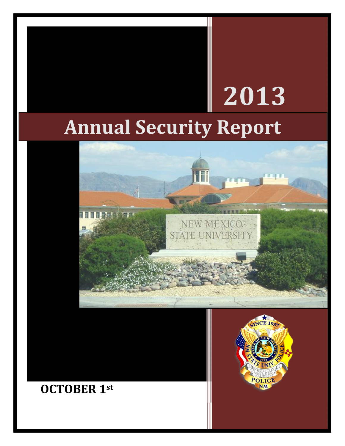# **Annual Security Report**



# **OCTOBER 1st**



**2013**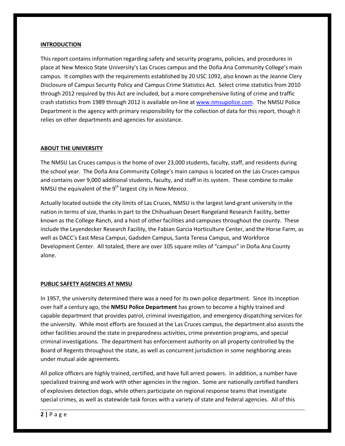#### **INTRODUCTION**

This report contains information regarding safety and security programs, policies, and procedures in place at New Mexico State University's Las Cruces campus and the Doña Ana Community College's main campus. It complies with the requirements established by 20 USC 1092, also known as the Jeanne Clery Disclosure of Campus Security Policy and Campus Crime Statistics Act. Select crime statistics from 2010 through 2012 required by this Act are included, but a more comprehensive listing of crime and traffic crash statistics from 1989 through 2012 is available on-line at www.nmsupolice.com. The NMSU Police Department is the agency with primary responsibility for the collection of data for this report, though it relies on other departments and agencies for assistance.

#### **ABOUT THE UNIVERSITY**

The NMSU Las Cruces campus is the home of over 23,000 students, faculty, staff, and residents during the school year. The Doña Ana Community College's main campus is located on the Las Cruces campus and contains over 9,000 additional students, faculty, and staff in its system. These combine to make NMSU the equivalent of the  $9<sup>th</sup>$  largest city in New Mexico.

Actually located outside the city limits of Las Cruces, NMSU is the largest land-grant university in the nation in terms of size, thanks in part to the Chihuahuan Desert Rangeland Research Facility, better known as the College Ranch, and a host of other facilities and campuses throughout the county. These include the Leyendecker Research Facility, the Fabian Garcia Horticulture Center, and the Horse Farm, as well as DACC's East Mesa Campus, Gadsden Campus, Santa Teresa Campus, and Workforce Development Center. All totaled, there are over 105 square miles of "campus" in Doña Ana County alone.

#### **PUBLIC SAFETY AGENCIES AT NMSU**

In 1957, the university determined there was a need for its own police department. Since its inception over half a century ago, the **NMSU Police Department** has grown to become a highly trained and capable department that provides patrol, criminal investigation, and emergency dispatching services for the university. While most efforts are focused at the Las Cruces campus, the department also assists the other facilities around the state in preparedness activities, crime prevention programs, and special criminal investigations. The department has enforcement authority on all property controlled by the Board of Regents throughout the state, as well as concurrent jurisdiction in some neighboring areas under mutual aide agreements.

All police officers are highly trained, certified, and have full arrest powers. In addition, a number have specialized training and work with other agencies in the region. Some are nationally certified handlers of explosives detection dogs, while others participate on regional response teams that investigate special crimes, as well as statewide task forces with a variety of state and federal agencies. All of this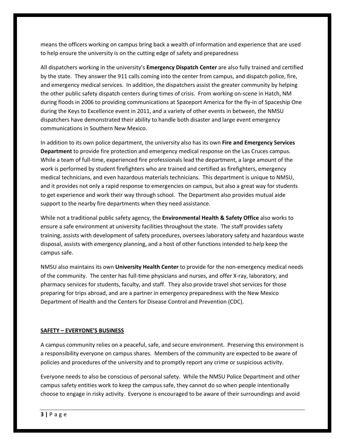means the officers working on campus bring back a wealth of information and experience that are used to help ensure the university is on the cutting edge of safety and preparedness

All dispatchers working in the university's **Emergency Dispatch Center** are also fully trained and certified by the state. They answer the 911 calls coming into the center from campus, and dispatch police, fire, and emergency medical services. In addition, the dispatchers assist the greater community by helping the other public safety dispatch centers during times of crisis. From working on-scene in Hatch, NM during floods in 2006 to providing communications at Spaceport America for the fly-in of Spaceship One during the Keys to Excellence event in 2011, and a variety of other events in between, the NMSU dispatchers have demonstrated their ability to handle both disaster and large event emergency communications in Southern New Mexico.

In addition to its own police department, the university also has its own **Fire and Emergency Services Department** to provide fire protection and emergency medical response on the Las Cruces campus. While a team of full-time, experienced fire professionals lead the department, a large amount of the work is performed by student firefighters who are trained and certified as firefighters, emergency medical technicians, and even hazardous materials technicians. This department is unique to NMSU, and it provides not only a rapid response to emergencies on campus, but also a great way for students to get experience and work their way through school. The Department also provides mutual aide support to the nearby fire departments when they need assistance.

While not a traditional public safety agency, the **Environmental Health & Safety Office** also works to ensure a safe environment at university facilities throughout the state. The staff provides safety training, assists with development of safety procedures, oversees laboratory safety and hazardous waste disposal, assists with emergency planning, and a host of other functions intended to help keep the campus safe.

NMSU also maintains its own **University Health Center** to provide for the non-emergency medical needs of the community. The center has full-time physicians and nurses, and offer X-ray, laboratory, and pharmacy services for students, faculty, and staff. They also provide travel shot services for those preparing for trips abroad, and are a partner in emergency preparedness with the New Mexico Department of Health and the Centers for Disease Control and Prevention (CDC).

#### **SAFETY – EVERYONE'S BUSINESS**

A campus community relies on a peaceful, safe, and secure environment. Preserving this environment is a responsibility everyone on campus shares. Members of the community are expected to be aware of policies and procedures of the university and to promptly report any crime or suspicious activity.

Everyone needs to also be conscious of personal safety. While the NMSU Police Department and other campus safety entities work to keep the campus safe, they cannot do so when people intentionally choose to engage in risky activity. Everyone is encouraged to be aware of their surroundings and avoid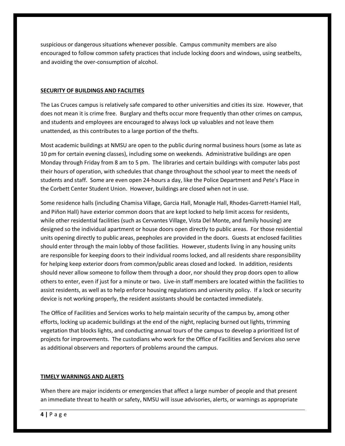suspicious or dangerous situations whenever possible. Campus community members are also encouraged to follow common safety practices that include locking doors and windows, using seatbelts, and avoiding the over-consumption of alcohol.

#### **SECURITY OF BUILDINGS AND FACILITIES**

The Las Cruces campus is relatively safe compared to other universities and cities its size. However, that does not mean it is crime free. Burglary and thefts occur more frequently than other crimes on campus, and students and employees are encouraged to always lock up valuables and not leave them unattended, as this contributes to a large portion of the thefts.

Most academic buildings at NMSU are open to the public during normal business hours (some as late as 10 pm for certain evening classes), including some on weekends. Administrative buildings are open Monday through Friday from 8 am to 5 pm. The libraries and certain buildings with computer labs post their hours of operation, with schedules that change throughout the school year to meet the needs of students and staff. Some are even open 24-hours a day, like the Police Department and Pete's Place in the Corbett Center Student Union. However, buildings are closed when not in use.

Some residence halls (including Chamisa Village, Garcia Hall, Monagle Hall, Rhodes-Garrett-Hamiel Hall, and Piñon Hall) have exterior common doors that are kept locked to help limit access for residents, while other residential facilities (such as Cervantes Village, Vista Del Monte, and family housing) are designed so the individual apartment or house doors open directly to public areas. For those residential units opening directly to public areas, peepholes are provided in the doors. Guests at enclosed facilities should enter through the main lobby of those facilities. However, students living in any housing units are responsible for keeping doors to their individual rooms locked, and all residents share responsibility for helping keep exterior doors from common/public areas closed and locked. In addition, residents should never allow someone to follow them through a door, nor should they prop doors open to allow others to enter, even if just for a minute or two. Live-in staff members are located within the facilities to assist residents, as well as to help enforce housing regulations and university policy. If a lock or security device is not working properly, the resident assistants should be contacted immediately.

The Office of Facilities and Services works to help maintain security of the campus by, among other efforts, locking up academic buildings at the end of the night, replacing burned out lights, trimming vegetation that blocks lights, and conducting annual tours of the campus to develop a prioritized list of projects for improvements. The custodians who work for the Office of Facilities and Services also serve as additional observers and reporters of problems around the campus.

#### **TIMELY WARNINGS AND ALERTS**

When there are major incidents or emergencies that affect a large number of people and that present an immediate threat to health or safety, NMSU will issue advisories, alerts, or warnings as appropriate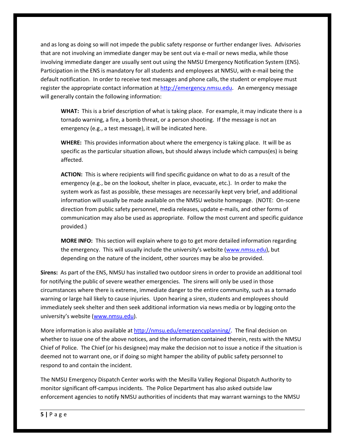and as long as doing so will not impede the public safety response or further endanger lives. Advisories that are not involving an immediate danger may be sent out via e-mail or news media, while those involving immediate danger are usually sent out using the NMSU Emergency Notification System (ENS). Participation in the ENS is mandatory for all students and employees at NMSU, with e-mail being the default notification. In order to receive text messages and phone calls, the student or employee must register the appropriate contact information at http://emergency.nmsu.edu. An emergency message will generally contain the following information:

**WHAT:** This is a brief description of what is taking place. For example, it may indicate there is a tornado warning, a fire, a bomb threat, or a person shooting. If the message is not an emergency (e.g., a test message), it will be indicated here.

**WHERE:** This provides information about where the emergency is taking place. It will be as specific as the particular situation allows, but should always include which campus(es) is being affected.

**ACTION:** This is where recipients will find specific guidance on what to do as a result of the emergency (e.g., be on the lookout, shelter in place, evacuate, etc.). In order to make the system work as fast as possible, these messages are necessarily kept very brief, and additional information will usually be made available on the NMSU website homepage. (NOTE: On-scene direction from public safety personnel, media releases, update e-mails, and other forms of communication may also be used as appropriate. Follow the most current and specific guidance provided.)

**MORE INFO:** This section will explain where to go to get more detailed information regarding the emergency. This will usually include the university's website (www.nmsu.edu), but depending on the nature of the incident, other sources may be also be provided.

**Sirens:** As part of the ENS, NMSU has installed two outdoor sirens in order to provide an additional tool for notifying the public of severe weather emergencies. The sirens will only be used in those circumstances where there is extreme, immediate danger to the entire community, such as a tornado warning or large hail likely to cause injuries. Upon hearing a siren, students and employees should immediately seek shelter and then seek additional information via news media or by logging onto the university's website (www.nmsu.edu).

More information is also available at http://nmsu.edu/emergencyplanning/. The final decision on whether to issue one of the above notices, and the information contained therein, rests with the NMSU Chief of Police. The Chief (or his designee) may make the decision not to issue a notice if the situation is deemed not to warrant one, or if doing so might hamper the ability of public safety personnel to respond to and contain the incident.

The NMSU Emergency Dispatch Center works with the Mesilla Valley Regional Dispatch Authority to monitor significant off-campus incidents. The Police Department has also asked outside law enforcement agencies to notify NMSU authorities of incidents that may warrant warnings to the NMSU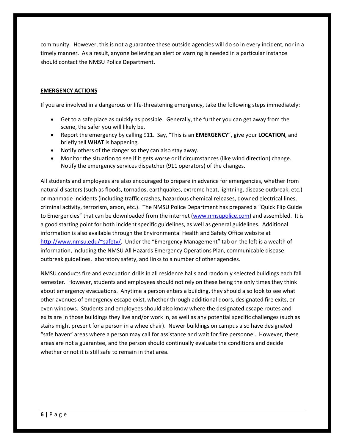community. However, this is not a guarantee these outside agencies will do so in every incident, nor in a timely manner. As a result, anyone believing an alert or warning is needed in a particular instance should contact the NMSU Police Department.

#### **EMERGENCY ACTIONS**

If you are involved in a dangerous or life-threatening emergency, take the following steps immediately:

- · Get to a safe place as quickly as possible. Generally, the further you can get away from the scene, the safer you will likely be.
- · Report the emergency by calling 911. Say, "This is an **EMERGENCY**", give your **LOCATION**, and briefly tell **WHAT** is happening.
- · Notify others of the danger so they can also stay away.
- · Monitor the situation to see if it gets worse or if circumstances (like wind direction) change. Notify the emergency services dispatcher (911 operators) of the changes.

All students and employees are also encouraged to prepare in advance for emergencies, whether from natural disasters (such as floods, tornados, earthquakes, extreme heat, lightning, disease outbreak, etc.) or manmade incidents (including traffic crashes, hazardous chemical releases, downed electrical lines, criminal activity, terrorism, arson, etc.). The NMSU Police Department has prepared a "Quick Flip Guide to Emergencies" that can be downloaded from the internet (www.nmsupolice.com) and assembled. It is a good starting point for both incident specific guidelines, as well as general guidelines. Additional information is also available through the Environmental Health and Safety Office website at http://www.nmsu.edu/~safety/. Under the "Emergency Management" tab on the left is a wealth of information, including the NMSU All Hazards Emergency Operations Plan, communicable disease outbreak guidelines, laboratory safety, and links to a number of other agencies.

NMSU conducts fire and evacuation drills in all residence halls and randomly selected buildings each fall semester. However, students and employees should not rely on these being the only times they think about emergency evacuations. Anytime a person enters a building, they should also look to see what other avenues of emergency escape exist, whether through additional doors, designated fire exits, or even windows. Students and employees should also know where the designated escape routes and exits are in those buildings they live and/or work in, as well as any potential specific challenges (such as stairs might present for a person in a wheelchair). Newer buildings on campus also have designated "safe haven" areas where a person may call for assistance and wait for fire personnel. However, these areas are not a guarantee, and the person should continually evaluate the conditions and decide whether or not it is still safe to remain in that area.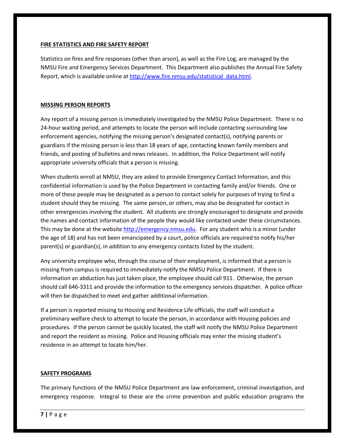#### **FIRE STATISTICS AND FIRE SAFETY REPORT**

Statistics on fires and fire responses (other than arson), as well as the Fire Log, are managed by the NMSU Fire and Emergency Services Department. This Department also publishes the Annual Fire Safety Report, which is available online at http://www.fire.nmsu.edu/statistical\_data.html.

#### **MISSING PERSON REPORTS**

Any report of a missing person is immediately investigated by the NMSU Police Department. There is no 24-hour waiting period, and attempts to locate the person will include contacting surrounding law enforcement agencies, notifying the missing person's designated contact(s), notifying parents or guardians if the missing person is less than 18 years of age, contacting known family members and friends, and posting of bulletins and news releases. In addition, the Police Department will notify appropriate university officials that a person is missing.

When students enroll at NMSU, they are asked to provide Emergency Contact Information, and this confidential information is used by the Police Department in contacting family and/or friends. One or more of these people may be designated as a person to contact solely for purposes of trying to find a student should they be missing. The same person, or others, may also be designated for contact in other emergencies involving the student. All students are strongly encouraged to designate and provide the names and contact information of the people they would like contacted under these circumstances. This may be done at the website http://emergency.nmsu.edu. For any student who is a minor (under the age of 18) and has not been emancipated by a court, police officials are required to notify his/her parent(s) or guardian(s), in addition to any emergency contacts listed by the student.

Any university employee who, through the course of their employment, is informed that a person is missing from campus is required to immediately notify the NMSU Police Department. If there is information an abduction has just taken place, the employee should call 911. Otherwise, the person should call 646-3311 and provide the information to the emergency services dispatcher. A police officer will then be dispatched to meet and gather additional information.

If a person is reported missing to Housing and Residence Life officials, the staff will conduct a preliminary welfare check to attempt to locate the person, in accordance with Housing policies and procedures. If the person cannot be quickly located, the staff will notify the NMSU Police Department and report the resident as missing. Police and Housing officials may enter the missing student's residence in an attempt to locate him/her.

#### **SAFETY PROGRAMS**

The primary functions of the NMSU Police Department are law enforcement, criminal investigation, and emergency response. Integral to these are the crime prevention and public education programs the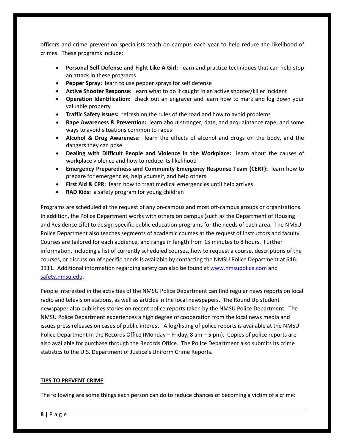officers and crime prevention specialists teach on campus each year to help reduce the likelihood of crimes. These programs include:

- · **Personal Self Defense and Fight Like A Girl:** learn and practice techniques that can help stop an attack in these programs
- Pepper Spray: learn to use pepper sprays for self defense
- · **Active Shooter Response:** learn what to do if caught in an active shooter/killer incident
- · **Operation Identification:** check out an engraver and learn how to mark and log down your valuable property
- · **Traffic Safety Issues:** refresh on the rules of the road and how to avoid problems
- · **Rape Awareness & Prevention:** learn about stranger, date, and acquaintance rape, and some ways to avoid situations common to rapes
- · **Alcohol & Drug Awareness:** learn the effects of alcohol and drugs on the body, and the dangers they can pose
- · **Dealing with Difficult People and Violence in the Workplace:** learn about the causes of workplace violence and how to reduce its likelihood
- · **Emergency Preparedness and Community Emergency Response Team (CERT):** learn how to prepare for emergencies, help yourself, and help others
- **First Aid & CPR:** learn how to treat medical emergencies until help arrives
- · **RAD Kids:** a safety program for young children

Programs are scheduled at the request of any on-campus and most off-campus groups or organizations. In addition, the Police Department works with others on campus (such as the Department of Housing and Residence Life) to design specific public education programs for the needs of each area. The NMSU Police Department also teaches segments of academic courses at the request of instructors and faculty. Courses are tailored for each audience, and range in length from 15 minutes to 8 hours. Further information, including a list of currently scheduled courses, how to request a course, descriptions of the courses, or discussion of specific needs is available by contacting the NMSU Police Department at 646- 3311. Additional information regarding safety can also be found at www.nmsupolice.com and safety.nmsu.edu.

People interested in the activities of the NMSU Police Department can find regular news reports on local radio and television stations, as well as articles in the local newspapers. The Round Up student newspaper also publishes stories on recent police reports taken by the NMSU Police Department. The NMSU Police Department experiences a high degree of cooperation from the local news media and issues press releases on cases of public interest. A log/listing of police reports is available at the NMSU Police Department in the Records Office (Monday – Friday, 8 am – 5 pm). Copies of police reports are also available for purchase through the Records Office. The Police Department also submits its crime statistics to the U.S. Department of Justice's Uniform Crime Reports.

#### **TIPS TO PREVENT CRIME**

The following are some things each person can do to reduce chances of becoming a victim of a crime: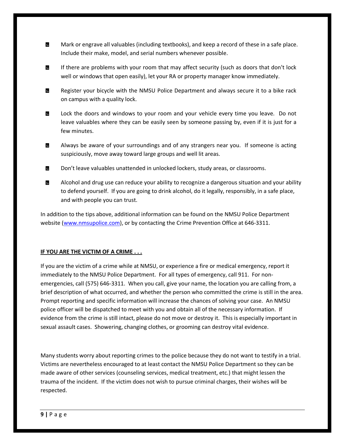- ß. Mark or engrave all valuables (including textbooks), and keep a record of these in a safe place. Include their make, model, and serial numbers whenever possible.
- $\blacksquare$ If there are problems with your room that may affect security (such as doors that don't lock well or windows that open easily), let your RA or property manager know immediately.
- Register your bicycle with the NMSU Police Department and always secure it to a bike rack ď on campus with a quality lock.
- Lock the doors and windows to your room and your vehicle every time you leave. Do not М leave valuables where they can be easily seen by someone passing by, even if it is just for a few minutes.
- И Always be aware of your surroundings and of any strangers near you. If someone is acting suspiciously, move away toward large groups and well lit areas.
- **B** Don't leave valuables unattended in unlocked lockers, study areas, or classrooms.
- **B** Alcohol and drug use can reduce your ability to recognize a dangerous situation and your ability to defend yourself. If you are going to drink alcohol, do it legally, responsibly, in a safe place, and with people you can trust.

In addition to the tips above, additional information can be found on the NMSU Police Department website (www.nmsupolice.com), or by contacting the Crime Prevention Office at 646-3311.

#### **IF YOU ARE THE VICTIM OF A CRIME . . .**

If you are the victim of a crime while at NMSU, or experience a fire or medical emergency, report it immediately to the NMSU Police Department. For all types of emergency, call 911. For nonemergencies, call (575) 646-3311. When you call, give your name, the location you are calling from, a brief description of what occurred, and whether the person who committed the crime is still in the area. Prompt reporting and specific information will increase the chances of solving your case. An NMSU police officer will be dispatched to meet with you and obtain all of the necessary information. If evidence from the crime is still intact, please do not move or destroy it. This is especially important in sexual assault cases. Showering, changing clothes, or grooming can destroy vital evidence.

Many students worry about reporting crimes to the police because they do not want to testify in a trial. Victims are nevertheless encouraged to at least contact the NMSU Police Department so they can be made aware of other services (counseling services, medical treatment, etc.) that might lessen the trauma of the incident. If the victim does not wish to pursue criminal charges, their wishes will be respected.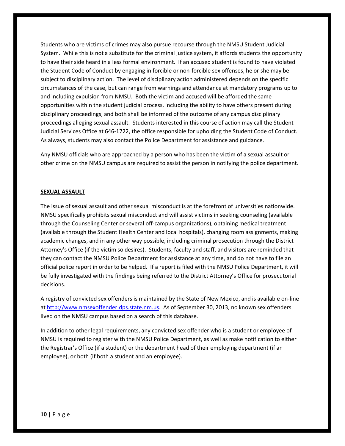Students who are victims of crimes may also pursue recourse through the NMSU Student Judicial System. While this is not a substitute for the criminal justice system, it affords students the opportunity to have their side heard in a less formal environment. If an accused student is found to have violated the Student Code of Conduct by engaging in forcible or non-forcible sex offenses, he or she may be subject to disciplinary action. The level of disciplinary action administered depends on the specific circumstances of the case, but can range from warnings and attendance at mandatory programs up to and including expulsion from NMSU. Both the victim and accused will be afforded the same opportunities within the student judicial process, including the ability to have others present during disciplinary proceedings, and both shall be informed of the outcome of any campus disciplinary proceedings alleging sexual assault. Students interested in this course of action may call the Student Judicial Services Office at 646-1722, the office responsible for upholding the Student Code of Conduct. As always, students may also contact the Police Department for assistance and guidance.

Any NMSU officials who are approached by a person who has been the victim of a sexual assault or other crime on the NMSU campus are required to assist the person in notifying the police department.

#### **SEXUAL ASSAULT**

The issue of sexual assault and other sexual misconduct is at the forefront of universities nationwide. NMSU specifically prohibits sexual misconduct and will assist victims in seeking counseling (available through the Counseling Center or several off-campus organizations), obtaining medical treatment (available through the Student Health Center and local hospitals), changing room assignments, making academic changes, and in any other way possible, including criminal prosecution through the District Attorney's Office (if the victim so desires). Students, faculty and staff, and visitors are reminded that they can contact the NMSU Police Department for assistance at any time, and do not have to file an official police report in order to be helped. If a report is filed with the NMSU Police Department, it will be fully investigated with the findings being referred to the District Attorney's Office for prosecutorial decisions.

A registry of convicted sex offenders is maintained by the State of New Mexico, and is available on-line at http://www.nmsexoffender.dps.state.nm.us. As of September 30, 2013, no known sex offenders lived on the NMSU campus based on a search of this database.

In addition to other legal requirements, any convicted sex offender who is a student or employee of NMSU is required to register with the NMSU Police Department, as well as make notification to either the Registrar's Office (if a student) or the department head of their employing department (if an employee), or both (if both a student and an employee).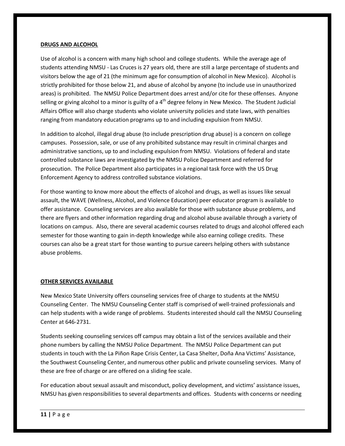#### **DRUGS AND ALCOHOL**

Use of alcohol is a concern with many high school and college students. While the average age of students attending NMSU - Las Cruces is 27 years old, there are still a large percentage of students and visitors below the age of 21 (the minimum age for consumption of alcohol in New Mexico). Alcohol is strictly prohibited for those below 21, and abuse of alcohol by anyone (to include use in unauthorized areas) is prohibited. The NMSU Police Department does arrest and/or cite for these offenses. Anyone selling or giving alcohol to a minor is guilty of a 4<sup>th</sup> degree felony in New Mexico. The Student Judicial Affairs Office will also charge students who violate university policies and state laws, with penalties ranging from mandatory education programs up to and including expulsion from NMSU.

In addition to alcohol, illegal drug abuse (to include prescription drug abuse) is a concern on college campuses. Possession, sale, or use of any prohibited substance may result in criminal charges and administrative sanctions, up to and including expulsion from NMSU. Violations of federal and state controlled substance laws are investigated by the NMSU Police Department and referred for prosecution. The Police Department also participates in a regional task force with the US Drug Enforcement Agency to address controlled substance violations.

For those wanting to know more about the effects of alcohol and drugs, as well as issues like sexual assault, the WAVE (Wellness, Alcohol, and Violence Education) peer educator program is available to offer assistance. Counseling services are also available for those with substance abuse problems, and there are flyers and other information regarding drug and alcohol abuse available through a variety of locations on campus. Also, there are several academic courses related to drugs and alcohol offered each semester for those wanting to gain in-depth knowledge while also earning college credits. These courses can also be a great start for those wanting to pursue careers helping others with substance abuse problems.

#### **OTHER SERVICES AVAILABLE**

New Mexico State University offers counseling services free of charge to students at the NMSU Counseling Center. The NMSU Counseling Center staff is comprised of well-trained professionals and can help students with a wide range of problems. Students interested should call the NMSU Counseling Center at 646-2731.

Students seeking counseling services off campus may obtain a list of the services available and their phone numbers by calling the NMSU Police Department. The NMSU Police Department can put students in touch with the La Piñon Rape Crisis Center, La Casa Shelter, Doña Ana Victims' Assistance, the Southwest Counseling Center, and numerous other public and private counseling services. Many of these are free of charge or are offered on a sliding fee scale.

For education about sexual assault and misconduct, policy development, and victims' assistance issues, NMSU has given responsibilities to several departments and offices. Students with concerns or needing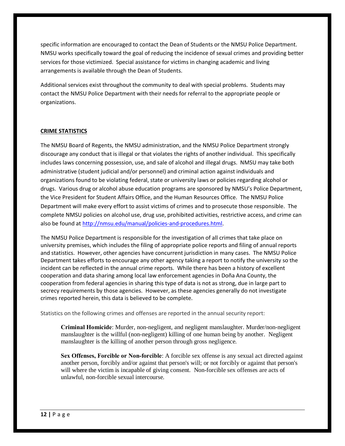specific information are encouraged to contact the Dean of Students or the NMSU Police Department. NMSU works specifically toward the goal of reducing the incidence of sexual crimes and providing better services for those victimized. Special assistance for victims in changing academic and living arrangements is available through the Dean of Students.

Additional services exist throughout the community to deal with special problems. Students may contact the NMSU Police Department with their needs for referral to the appropriate people or organizations.

#### **CRIME STATISTICS**

The NMSU Board of Regents, the NMSU administration, and the NMSU Police Department strongly discourage any conduct that is illegal or that violates the rights of another individual. This specifically includes laws concerning possession, use, and sale of alcohol and illegal drugs. NMSU may take both administrative (student judicial and/or personnel) and criminal action against individuals and organizations found to be violating federal, state or university laws or policies regarding alcohol or drugs. Various drug or alcohol abuse education programs are sponsored by NMSU's Police Department, the Vice President for Student Affairs Office, and the Human Resources Office. The NMSU Police Department will make every effort to assist victims of crimes and to prosecute those responsible. The complete NMSU policies on alcohol use, drug use, prohibited activities, restrictive access, and crime can also be found at http://nmsu.edu/manual/policies-and-procedures.html.

The NMSU Police Department is responsible for the investigation of all crimes that take place on university premises, which includes the filing of appropriate police reports and filing of annual reports and statistics. However, other agencies have concurrent jurisdiction in many cases. The NMSU Police Department takes efforts to encourage any other agency taking a report to notify the university so the incident can be reflected in the annual crime reports. While there has been a history of excellent cooperation and data sharing among local law enforcement agencies in Doña Ana County, the cooperation from federal agencies in sharing this type of data is not as strong, due in large part to secrecy requirements by those agencies. However, as these agencies generally do not investigate crimes reported herein, this data is believed to be complete.

Statistics on the following crimes and offenses are reported in the annual security report:

**Criminal Homicide**: Murder, non-negligent, and negligent manslaughter. Murder/non-negligent manslaughter is the willful (non-negligent) killing of one human being by another. Negligent manslaughter is the killing of another person through gross negligence.

**Sex Offenses, Forcible or Non-forcible**: A forcible sex offense is any sexual act directed against another person, forcibly and/or against that person's will; or not forcibly or against that person's will where the victim is incapable of giving consent. Non-forcible sex offenses are acts of unlawful, non-forcible sexual intercourse.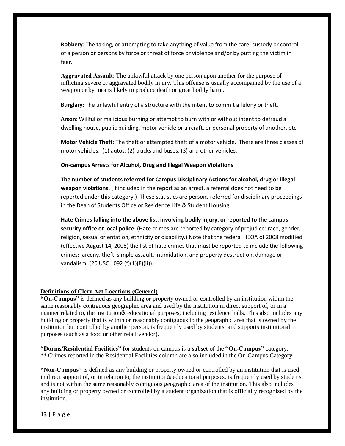**Robbery**: The taking, or attempting to take anything of value from the care, custody or control of a person or persons by force or threat of force or violence and/or by putting the victim in fear.

**Aggravated Assault**: The unlawful attack by one person upon another for the purpose of inflicting severe or aggravated bodily injury. This offense is usually accompanied by the use of a weapon or by means likely to produce death or great bodily harm.

**Burglary**: The unlawful entry of a structure with the intent to commit a felony or theft.

**Arson**: Willful or malicious burning or attempt to burn with or without intent to defraud a dwelling house, public building, motor vehicle or aircraft, or personal property of another, etc.

**Motor Vehicle Theft**: The theft or attempted theft of a motor vehicle. There are three classes of motor vehicles: (1) autos, (2) trucks and buses, (3) and other vehicles.

#### **On-campus Arrests for Alcohol, Drug and Illegal Weapon Violations**

**The number of students referred for Campus Disciplinary Actions for alcohol, drug or illegal weapon violations.** (If included in the report as an arrest, a referral does not need to be reported under this category.) These statistics are persons referred for disciplinary proceedings in the Dean of Students Office or Residence Life & Student Housing*.*

**Hate Crimes falling into the above list, involving bodily injury, or reported to the campus security office or local police.** (Hate crimes are reported by category of prejudice: race, gender, religion, sexual orientation, ethnicity or disability.) Note that the federal HEOA of 2008 modified (effective August 14, 2008) the list of hate crimes that must be reported to include the following crimes: larceny, theft, simple assault, intimidation, and property destruction, damage or vandalism. (20 USC 1092 (f)(1)(F)(ii)).

#### **Definitions of Clery Act Locations (General)**

**"On-Campus"** is defined as any building or property owned or controlled by an institution within the same reasonably contiguous geographic area and used by the institution in direct support of, or in a manner related to, the institution is educational purposes, including residence halls. This also includes any building or property that is within or reasonably contiguous to the geographic area that is owned by the institution but controlled by another person, is frequently used by students, and supports institutional purposes (such as a food or other retail vendor).

**"Dorms/Residential Facilities"** for students on campus is a **subset** of the **"On-Campus"** category. \*\* Crimes reported in the Residential Facilities column are also included in the On-Campus Category.

**"Non-Campus"** is defined as any building or property owned or controlled by an institution that is used in direct support of, or in relation to, the institution of educational purposes, is frequently used by students, and is not within the same reasonably contiguous geographic area of the institution. This also includes any building or property owned or controlled by a student organization that is officially recognized by the institution.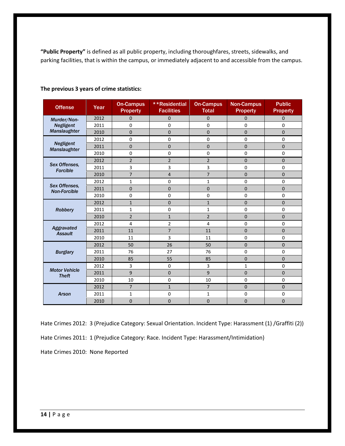**"Public Property"** is defined as all public property, including thoroughfares, streets, sidewalks, and parking facilities, that is within the campus, or immediately adjacent to and accessible from the campus.

| <b>Offense</b>                       | Year | <b>On-Campus</b><br><b>Property</b> | **Residential<br><b>Facilities</b> | <b>On-Campus</b><br><b>Total</b> | <b>Non-Campus</b><br><b>Property</b> | <b>Public</b><br><b>Property</b> |
|--------------------------------------|------|-------------------------------------|------------------------------------|----------------------------------|--------------------------------------|----------------------------------|
| Murder/Non-<br><b>Negligent</b>      | 2012 | $\overline{0}$                      | $\overline{0}$                     | $\mathbf 0$                      | $\mathbf{0}$                         | $\mathbf{0}$                     |
|                                      | 2011 | $\mathbf 0$                         | 0                                  | $\mathbf 0$                      | $\mathbf 0$                          | $\mathbf 0$                      |
| Manslaughter                         | 2010 | $\mathbf{0}$                        | $\mathbf 0$                        | $\overline{0}$                   | $\mathbf{0}$                         | $\overline{0}$                   |
|                                      | 2012 | $\mathbf 0$                         | 0                                  | 0                                | $\mathbf 0$                          | 0                                |
| <b>Negligent</b><br>Manslaughter     | 2011 | $\mathbf{0}$                        | $\mathbf 0$                        | $\overline{0}$                   | $\overline{0}$                       | $\overline{0}$                   |
|                                      | 2010 | $\mathbf 0$                         | $\mathbf 0$                        | 0                                | $\mathbf 0$                          | $\Omega$                         |
|                                      | 2012 | $\overline{2}$                      | $\overline{2}$                     | $\overline{2}$                   | $\mathbf 0$                          | $\mathbf 0$                      |
| Sex Offenses,<br><b>Forcible</b>     | 2011 | 3                                   | 3                                  | 3                                | $\mathbf 0$                          | 0                                |
|                                      | 2010 | $\overline{7}$                      | $\overline{4}$                     | $\overline{7}$                   | $\mathbf 0$                          | $\mathbf 0$                      |
| Sex Offenses,<br><b>Non-Forcible</b> | 2012 | 1                                   | $\mathbf 0$                        | $\mathbf{1}$                     | $\mathbf 0$                          | $\mathbf 0$                      |
|                                      | 2011 | $\mathbf{0}$                        | $\overline{0}$                     | $\overline{0}$                   | $\mathbf 0$                          | $\overline{0}$                   |
|                                      | 2010 | $\mathbf 0$                         | $\mathbf 0$                        | $\mathbf 0$                      | $\mathbf 0$                          | $\mathbf 0$                      |
| <b>Robbery</b>                       | 2012 | $\mathbf{1}$                        | $\mathbf 0$                        | $\mathbf{1}$                     | $\mathbf 0$                          | $\mathbf 0$                      |
|                                      | 2011 | $\mathbf{1}$                        | $\mathbf 0$                        | $\mathbf{1}$                     | $\mathbf 0$                          | 0                                |
|                                      | 2010 | $\overline{2}$                      | $\mathbf{1}$                       | $\overline{2}$                   | $\mathbf 0$                          | $\mathbf 0$                      |
| Aggravated<br><b>Assault</b>         | 2012 | 4                                   | $\overline{2}$                     | 4                                | $\mathbf 0$                          | 0                                |
|                                      | 2011 | 11                                  | $\overline{7}$                     | 11                               | $\mathbf 0$                          | $\Omega$                         |
|                                      | 2010 | 11                                  | 3                                  | 11                               | $\mathbf 0$                          | $\mathbf 0$                      |
|                                      | 2012 | 50                                  | 26                                 | 50                               | $\mathbf 0$                          | $\overline{0}$                   |
| <b>Burglary</b>                      | 2011 | 76                                  | 27                                 | 76                               | $\mathbf 0$                          | $\mathbf 0$                      |
|                                      | 2010 | 85                                  | 55                                 | 85                               | $\mathbf{0}$                         | $\overline{0}$                   |
| <b>Motor Vehicle</b><br><b>Theft</b> | 2012 | 3                                   | $\mathbf 0$                        | 3                                | $\mathbf{1}$                         | $\Omega$                         |
|                                      | 2011 | 9                                   | $\overline{0}$                     | 9                                | $\overline{0}$                       | $\overline{0}$                   |
|                                      | 2010 | 10                                  | $\mathbf 0$                        | 10                               | $\mathbf 0$                          | $\mathbf 0$                      |
| <b>Arson</b>                         | 2012 | $\overline{7}$                      | $\mathbf{1}$                       | $\overline{7}$                   | $\mathbf 0$                          | $\mathbf 0$                      |
|                                      | 2011 | $\mathbf{1}$                        | $\mathbf 0$                        | $\mathbf{1}$                     | $\mathbf 0$                          | $\mathbf 0$                      |
|                                      | 2010 | $\overline{0}$                      | $\mathbf 0$                        | $\mathbf 0$                      | $\mathbf 0$                          | $\overline{0}$                   |

#### **The previous 3 years of crime statistics:**

Hate Crimes 2012: 3 (Prejudice Category: Sexual Orientation. Incident Type: Harassment (1) /Graffiti (2)) Hate Crimes 2011: 1 (Prejudice Category: Race. Incident Type: Harassment/Intimidation) Hate Crimes 2010: None Reported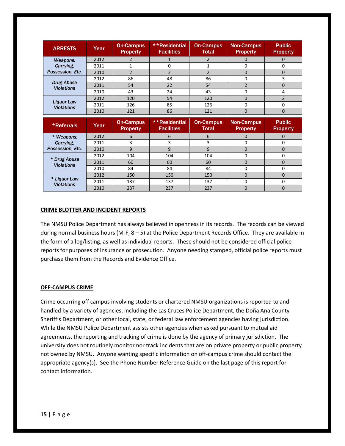| <b>ARRESTS</b>                            | Year | On-Campus<br><b>Property</b> | **Residential<br><b>Facilities</b> | <b>On-Campus</b><br><b>Total</b> | <b>Non-Campus</b><br><b>Property</b> | <b>Public</b><br><b>Property</b> |
|-------------------------------------------|------|------------------------------|------------------------------------|----------------------------------|--------------------------------------|----------------------------------|
| Weapons:<br>Carrying.<br>Possession, Etc. | 2012 |                              |                                    |                                  | $\mathbf{I}$                         |                                  |
|                                           | 2011 |                              | 0                                  |                                  | 0                                    | 0                                |
|                                           | 2010 |                              |                                    |                                  | 0                                    |                                  |
| <b>Drug Abuse</b><br><b>Violations</b>    | 2012 | 86                           | 48                                 | 86                               |                                      |                                  |
|                                           | 2011 | 54                           | 22                                 | 54                               |                                      |                                  |
|                                           | 2010 | 43                           | 24                                 | 43                               | O                                    | 4                                |
| Liquor Law<br><b>Violations</b>           | 2012 | 120                          | 54                                 | 120                              | 0                                    |                                  |
|                                           | 2011 | 126                          | 85                                 | 126                              |                                      |                                  |
|                                           | 2010 | 121                          | 86                                 | 121                              | 0                                    | 0                                |

| *Referrals                        | Year | On-Campus<br><b>Property</b> | **Residential<br><b>Facilities</b> | <b>On-Campus</b><br><b>Total</b> | <b>Non-Campus</b><br><b>Property</b> | <b>Public</b><br><b>Property</b> |
|-----------------------------------|------|------------------------------|------------------------------------|----------------------------------|--------------------------------------|----------------------------------|
| * Weapons:                        | 2012 |                              | b                                  | 6                                |                                      |                                  |
| Carrying.<br>Possession, Etc.     | 2011 |                              | 3                                  |                                  |                                      | O                                |
|                                   | 2010 | q                            | 9                                  | 9                                | $\left($                             |                                  |
| * Drug Abuse<br><b>Violations</b> | 2012 | 104                          | 104                                | 104                              |                                      |                                  |
|                                   | 2011 | 60                           | 60                                 | 60                               |                                      |                                  |
|                                   | 2010 | 84                           | 84                                 | 84                               |                                      |                                  |
| * Liquor Law<br><b>Violations</b> | 2012 | 150                          | 150                                | 150                              |                                      |                                  |
|                                   | 2011 | 137                          | 137                                | 137                              |                                      |                                  |
|                                   | 2010 | 237                          | 237                                | 237                              |                                      | 0                                |

#### **CRIME BLOTTER AND INCIDENT REPORTS**

The NMSU Police Department has always believed in openness in its records. The records can be viewed during normal business hours (M-F, 8 – 5) at the Police Department Records Office. They are available in the form of a log/listing, as well as individual reports. These should not be considered official police reports for purposes of insurance or prosecution. Anyone needing stamped, official police reports must purchase them from the Records and Evidence Office.

#### **OFF-CAMPUS CRIME**

Crime occurring off campus involving students or chartered NMSU organizations is reported to and handled by a variety of agencies, including the Las Cruces Police Department, the Doña Ana County Sheriff's Department, or other local, state, or federal law enforcement agencies having jurisdiction. While the NMSU Police Department assists other agencies when asked pursuant to mutual aid agreements, the reporting and tracking of crime is done by the agency of primary jurisdiction. The university does not routinely monitor nor track incidents that are on private property or public property not owned by NMSU. Anyone wanting specific information on off-campus crime should contact the appropriate agency(s). See the Phone Number Reference Guide on the last page of this report for contact information.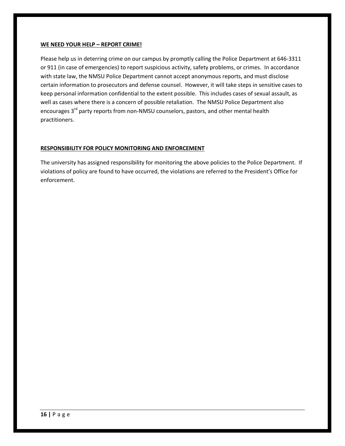#### **WE NEED YOUR HELP – REPORT CRIME!**

Please help us in deterring crime on our campus by promptly calling the Police Department at 646-3311 or 911 (in case of emergencies) to report suspicious activity, safety problems, or crimes. In accordance with state law, the NMSU Police Department cannot accept anonymous reports, and must disclose certain information to prosecutors and defense counsel. However, it will take steps in sensitive cases to keep personal information confidential to the extent possible. This includes cases of sexual assault, as well as cases where there is a concern of possible retaliation. The NMSU Police Department also encourages 3<sup>rd</sup> party reports from non-NMSU counselors, pastors, and other mental health practitioners.

#### **RESPONSIBILITY FOR POLICY MONITORING AND ENFORCEMENT**

The university has assigned responsibility for monitoring the above policies to the Police Department. If violations of policy are found to have occurred, the violations are referred to the President's Office for enforcement.